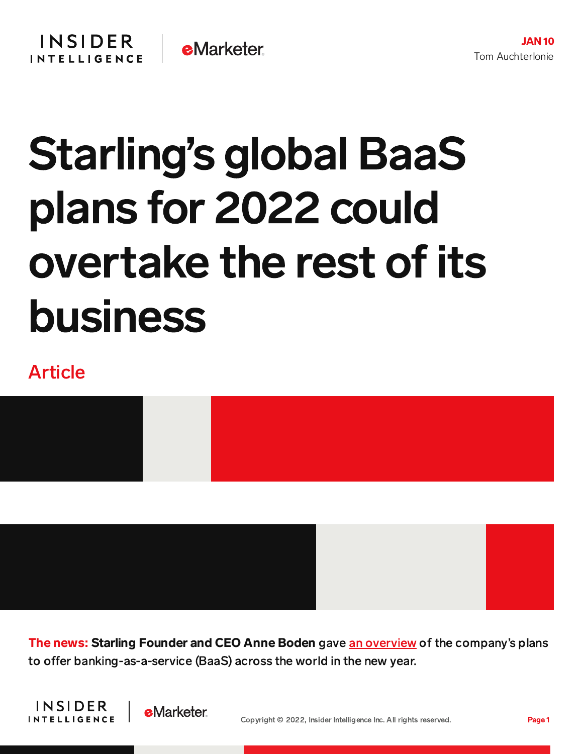## **INSIDER e**Marketer **INTELLIGENCE**

## Starling's global BaaS plans for 2022 could overtake the rest of its business

## Article



The news: Starling Founder and CEO Anne Boden gave an [overview](https://www.starlingbank.com/blog/taking-flight-on-a-new-stage-of-the-starling-journey/) of the company's plans to offer banking-as-a-service (BaaS) across the world in the new year.



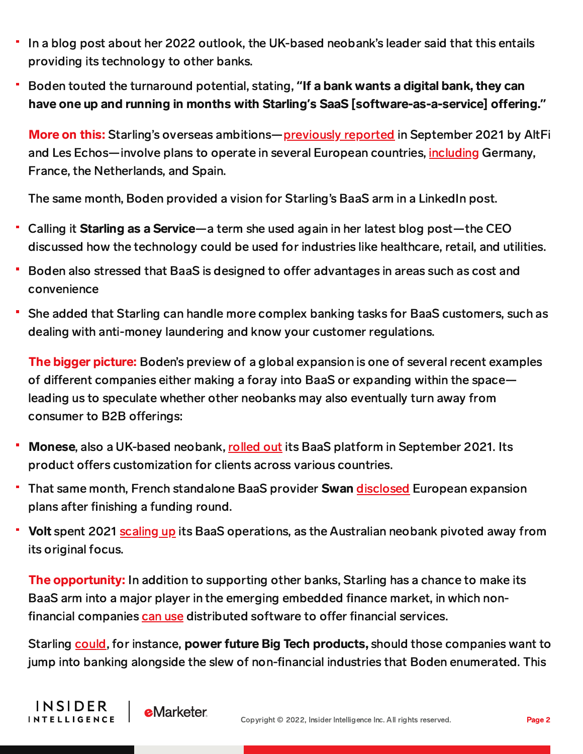- In a blog post about her 2022 outlook, the UK-based neobank's leader said that this entails providing its technology to other banks.
- Boden touted the turnaround potential, stating, **"**If a bank wants a digital bank, they can have one up and running in months with Starling's SaaS [software-as-a-service] offering."

More on this: Starling's overseas ambitions—<u>[previously](https://content-na2.emarketer.com/starling-european-baas-play-seeks-back-end-success?utm_campaign=banking+briefing+09/30/2021+starling+europe+baas&utm_medium=email&utm_source=triggermail&utm_term=bii+list+banking+all) reported</u> in September 2021 by AltFi and Les Echos—involve plans to operate in several European countries, [including](https://content-na2.emarketer.com/starling-european-baas-play-seeks-back-end-success?utm_campaign=banking+briefing+09/30/2021+starling+europe+baas&utm_medium=email&utm_source=triggermail&utm_term=bii+list+banking+all) Germany, France, the Netherlands, and Spain.

The same month, Boden provided a vision for Starling's BaaS arm in a LinkedIn post.

- Calling it Starling as a Service—a term she used again in her latest blog post—the CEO discussed how the technology could be used for industries like healthcare, retail, and utilities.
- Boden also stressed that BaaS is designed to offer advantages in areas such as cost and convenience
- She added that Starling can handle more complex banking tasks for BaaS customers, such as dealing with anti-money laundering and know your customer regulations.

The bigger picture: Boden's preview of a global expansion is one of several recent examples of different companies either making a foray into BaaS or expanding within the space leading us to speculate whether other neobanks may also eventually turn away from consumer to B2B offerings:

- Monese, also a UK-based neobank, [rolled](https://content-na2.emarketer.com/monese-faces-formidable-competitors-uk-baas-space?utm_campaign=banking+briefing+09/21/2021+citi+mike+naggar+q&a&utm_medium=email&utm_source=triggermail&utm_term=bii+list+banking+all) out its BaaS platform in September 2021. Its product offers customization for clients across various countries.
- That same month, French standalone BaaS provider Swan [disclosed](https://content-na2.emarketer.com/baas-provider-swan-bags-18-7m-face-crowded-european-field) European expansion plans after finishing a funding round.
- Volt spent 2021 [scaling](https://content-na2.emarketer.com/volt-teams-up-with-australian-mortgage-marketplace-boost-its-product-launch?utm_source=Triggermail&utm_medium=email&utm_campaign=Banking%20Briefing%2008/30/2021%20Revolut%20another%20banking%20license&utm_term=BII%20List%20Banking%20ALL) up its BaaS operations, as the Australian neobank pivoted away from its original focus.

The opportunity: In addition to supporting other banks, Starling has a chance to make its BaaS arm into a major player in the emerging embedded finance market, in which nonfinancial companies [can](https://content-na2.emarketer.com/embedded-finance-explainer) use distributed software to offer financial services.

**INSIDER** 

**INTELLIGENCE** 

**e**Marketer

Starling [could,](https://content-na2.emarketer.com/embedded-finance-explainer) for instance, power future Big Tech products, should those companies want to jump into banking alongside the slew of non-financial industries that Boden enumerated. This